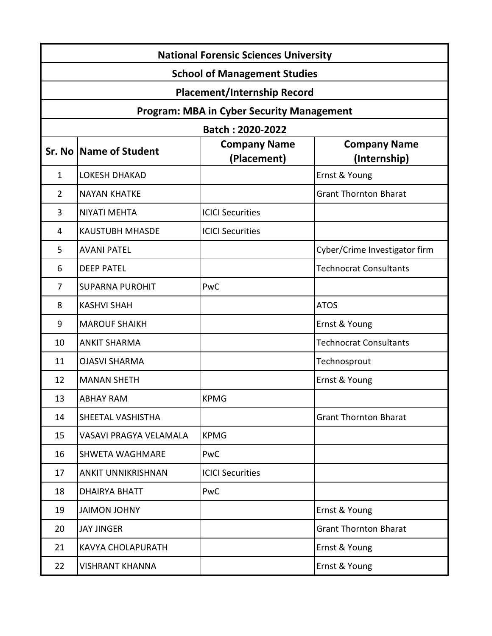| <b>National Forensic Sciences University</b>     |                           |                                    |                                     |  |
|--------------------------------------------------|---------------------------|------------------------------------|-------------------------------------|--|
| <b>School of Management Studies</b>              |                           |                                    |                                     |  |
| <b>Placement/Internship Record</b>               |                           |                                    |                                     |  |
| <b>Program: MBA in Cyber Security Management</b> |                           |                                    |                                     |  |
| Batch: 2020-2022                                 |                           |                                    |                                     |  |
|                                                  | Sr. No   Name of Student  | <b>Company Name</b><br>(Placement) | <b>Company Name</b><br>(Internship) |  |
| $\mathbf{1}$                                     | <b>LOKESH DHAKAD</b>      |                                    | Ernst & Young                       |  |
| $\overline{2}$                                   | <b>NAYAN KHATKE</b>       |                                    | <b>Grant Thornton Bharat</b>        |  |
| 3                                                | <b>NIYATI MEHTA</b>       | <b>ICICI Securities</b>            |                                     |  |
| 4                                                | <b>KAUSTUBH MHASDE</b>    | <b>ICICI Securities</b>            |                                     |  |
| 5                                                | <b>AVANI PATEL</b>        |                                    | Cyber/Crime Investigator firm       |  |
| 6                                                | <b>DEEP PATEL</b>         |                                    | <b>Technocrat Consultants</b>       |  |
| $\overline{7}$                                   | <b>SUPARNA PUROHIT</b>    | PwC                                |                                     |  |
| 8                                                | <b>KASHVI SHAH</b>        |                                    | <b>ATOS</b>                         |  |
| 9                                                | <b>MAROUF SHAIKH</b>      |                                    | Ernst & Young                       |  |
| 10                                               | <b>ANKIT SHARMA</b>       |                                    | <b>Technocrat Consultants</b>       |  |
| 11                                               | <b>OJASVI SHARMA</b>      |                                    | Technosprout                        |  |
| 12                                               | <b>MANAN SHETH</b>        |                                    | Ernst & Young                       |  |
| 13                                               | <b>ABHAY RAM</b>          | <b>KPMG</b>                        |                                     |  |
| 14                                               | SHEETAL VASHISTHA         |                                    | <b>Grant Thornton Bharat</b>        |  |
| 15                                               | VASAVI PRAGYA VELAMALA    | <b>KPMG</b>                        |                                     |  |
| 16                                               | <b>SHWETA WAGHMARE</b>    | PwC                                |                                     |  |
| 17                                               | <b>ANKIT UNNIKRISHNAN</b> | <b>ICICI Securities</b>            |                                     |  |
| 18                                               | <b>DHAIRYA BHATT</b>      | PwC                                |                                     |  |
| 19                                               | <b>JAIMON JOHNY</b>       |                                    | Ernst & Young                       |  |
| 20                                               | <b>JAY JINGER</b>         |                                    | <b>Grant Thornton Bharat</b>        |  |
| 21                                               | <b>KAVYA CHOLAPURATH</b>  |                                    | Ernst & Young                       |  |
| 22                                               | <b>VISHRANT KHANNA</b>    |                                    | Ernst & Young                       |  |